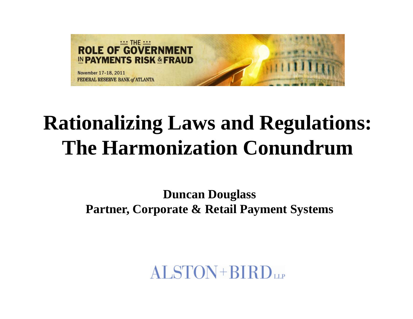

# **Rationalizing Laws and Regulations: The Harmonization Conundrum**

**Duncan Douglass Partner, Corporate & Retail Payment Systems**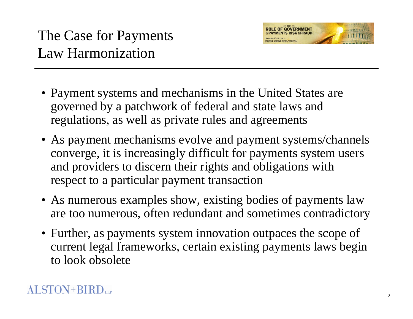

- Payment systems and mechanisms in the United States are governed by a patchwork of federal and state laws and regulations, as well as private rules and agreements
- As paymen<sup>t</sup> mechanisms evolve and paymen<sup>t</sup> systems/channels converge, it is increasingly difficult for payments system users and providers to discern their rights and obligations with respect to a particular payment transaction
- As numerous examples show, existing bodies of payments law are too numerous, often redundant and sometimes contradictory
- Further, as payments system innovation outpaces the scope of current legal frameworks, certain existing payments laws begin to look obsolete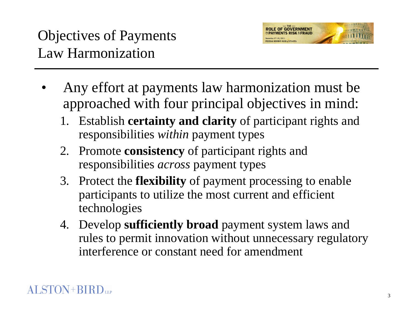

- • Any effort at payments law harmonization must be approached with four principal objectives in mind:
	- 1. Establish **certainty and clarity** of participant rights and responsibilities *within* payment types
	- 2. Promote **consistency** of participant rights and responsibilities *across* payment types
	- 3. Protect the **flexibility** of payment processing to enable participants to utilize the most current and efficient technologies
	- 4. Develop **sufficiently broad** payment system laws and rules to permit innovation without unnecessary regulatory interference or constant need for amendment

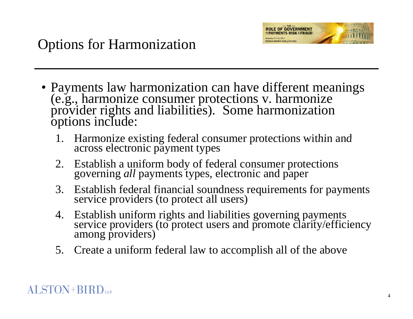

- Payments law harmonization can have different meanings<br>
(e.g., harmonize consumer protections v. harmonize<br>
provider rights and liabilities). Some harmonization<br>
options include:
	- 1. Harmonize existing federal consumer protections within and across electronic payment types
	- 2. Establish a uniform body of federal consumer protections *all* payments types, electronic and paper
	- 3. Establish federal financial soundness requirements for payments service providers (to protect all users)
	- 4. Establish uniform rights and liabilities governing pay Establish unitorm rights and liabilities governing payments<br>service providers (to protect users and promote clarity/efficiency among providers)
	- 5. Create a uniform federal law to accomplish all of the above

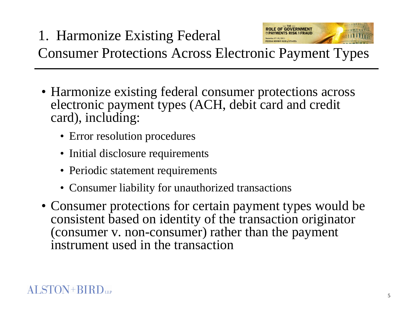- Harmonize existing federal consumer protections across electronic payment types (ACH, debit card and credit card), including:
	- Error resolution procedures
	- Initial disclosure requirements
	- Periodic statement requirements
	- Consumer liability for unauthorized transactions
- Consumer protections for certain payment types would be consistent based on identity of the transaction originator (consumer v. non-consumer) rather than the payment instrument used in the transaction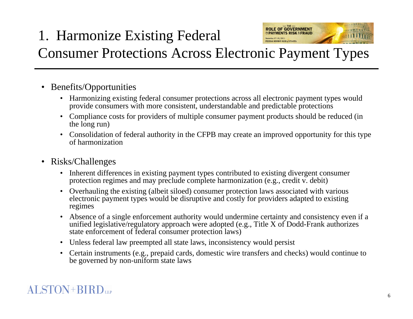# 1. Harmonize Existing Federal



## Consumer Protections Across Electronic Payment Types

- $\bullet$  Benefits/Opportunities
	- Harmonizing existing federal consumer protections across all electronic payment types would provide consumers with more consistent, understandable and predictable protections
	- Compliance costs for providers of multiple consumer payment products should be reduced (in the long run)
	- Consolidation of federal authority in the CFPB may create an improved opportunity for this type of harmonization
- Risks/Challenges
	- Inherent differences in existing payment types contributed to existing divergent consumer protection regimes and may preclude complete harmonization (e.g., credit v. debit)
	- Overhauling the existing (albeit siloed) consumer protection laws associated with various electronic payment types would be disruptive and costly for providers adapted to existing regimes
	- Absence of a single enforcement authority would undermine certainty and consistency even if a unified legislative/regulatory approach were adopted (e.g., Title X of Dodd-Frank authorizes state enforcement of federal consumer protection laws)
	- Unless federal law preempted all state laws, inconsistency would persist
	- Certain instruments (e.g., prepaid cards, domestic wire transfers and checks) would continue to be governed by non-uniform state laws

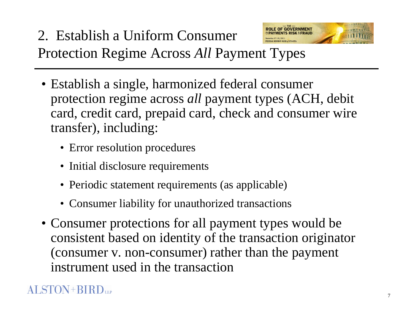

- Establish a single, harmonized federal consumer protection regime across all payment types (ACH, debit card, credit card, prepaid card, check and consumer wire transfer), including:
	- Error resolution procedures
	- Initial disclosure requirements
	- Periodic statement requirements (as applicable)
	- Consumer liability for unauthorized transactions
- Consumer protections for all payment types would be consistent based on identity of the transaction originator (consumer v. non-consumer) rather than the payment instrument used in the transaction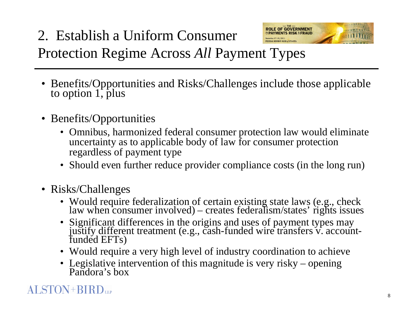#### **ROLE OF GOVERNMENT**<br>**INPAYMENTS RISK & FRAUD** 2. Establish a Uniform Consumer Protection Regime Across All Payment Types

- Benefits/Opportunities and Risks/Challenges include those applicable to option 1, plus
- Benefits/Opportunities
	- Omnibus, harmonized federal consumer protection law would eliminate uncertainty as to applicable body of law for consumer protection regardless of payment type
	- Should even further reduce provider compliance costs (in the long run)
- Risks/Challenges
	- Would require federalization of certain existing state laws (e.g., check law when consumer involved) creates federalism/states' rights issues
	- Significant differences in the origins and uses of payment t justify different treatment (e.g., cash-funded wire transfers v. account-<br>funded EFTs)
	- Would require a very high level of industry coordination to achieve
	- Legislative intervention of this magnitude is very risky opening<br>Pandora's box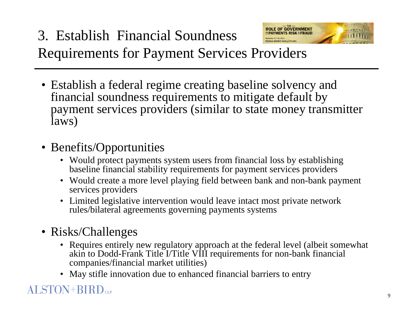#### **ROLE OF GOVERNMENT**<br> **NPAYMENTS RISK & FRAUD** 3. Establish Financial SoundnessRequirements for Payment Services Providers

- Establish a federal regime creating baseline solvency and financial soundness requirements to mitigate default by payment services providers (similar to state money transmitter laws)
- Benefits/Opportunities
	- Would protect payments system users from financial loss by establishing baseline financial stability requirements for payment services providers
	- Would create a more level playing field between bank and non-bank payment services providers
	- Limited legislative intervention would leave intact most private network rules/bilateral agreements governing payments systems
- Risks/Challenges
	- Requires entirely new regulatory approach at the federal level (albeit somewhat akin to Dodd-Frank Title I/Title VIII requirements for non-bank financial companies/financial market utilities)
	- May stifle innovation due to enhanced financial barriers to entry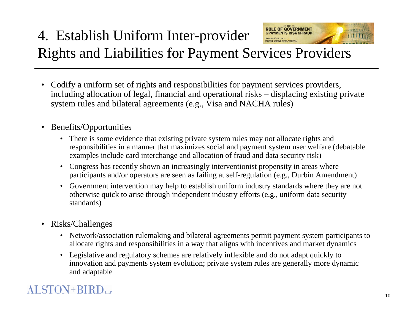#### **ROLE OF GOVERNMENT** 4. Establish Uniform Inter-provider Rights and Liabilities for Payment Services Providers

- Codify a uniform set of rights and responsibilities for payment services providers, including allocation of legal, financial and operational risks – displacing existing private s ystem rules and bilateral a greements (e. g., Visa and NACHA rules)
- $\bullet$  Benefits/Opportunities
	- There is some evidence that existing private system rules may not allocate rights and responsibilities in a manner that maximizes social and payment system user welfare (debatable examples include card interchange and allocation of fraud and data security risk)
	- Congress has recently shown an increasingly interventionist propensity in areas where participants and/or operators are seen as failing at self-regulation (e.g., Durbin Amendment)
	- Government intervention may help to establish uniform industry standards where they are not otherwise quick to arise through independent industry efforts (e.g., uniform data security standards)
- $\bullet$  Risks/Challen ges
	- Network/association rulemaking and bilateral agreements permit payment system participants to allocate rights and responsibilities in a way that aligns with incentives and market dynamics
	- Legislative and regulatory schemes are relatively inflexible and do not adapt quickly to innovation and payments system evolution; private system rules are generally more dynamic and adaptable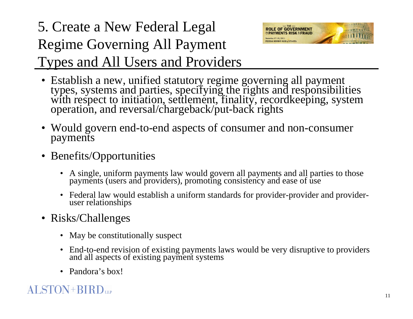### 5. Create a New Federal Legal Regime Governing All Payment Types and All Users and Providers



- Establish a new, unified statutory regime governing all payment types, systems and parties, specifying the rights and responsibilities with respect to initiation, settlement, finality, recordkeeping, system operation, an
- Would govern end-to-end aspects of consumer and non-consumer payments
- Benefits/Opportunities
	- A single, uniform payments law would govern all payments and all parties to those payments (users and providers), promoting consistency and ease of use
	- Federal law would establish a uniform standards for provider-provider and provider- user relationships
- Risks/Challenges
	- May be constitutionally suspect
	- End-to-end revision of existing payments laws would be very disruptive to providers and all aspects of existing paymen<sup>t</sup> systems and all aspects of existing payment systems
	- Pandora's box!